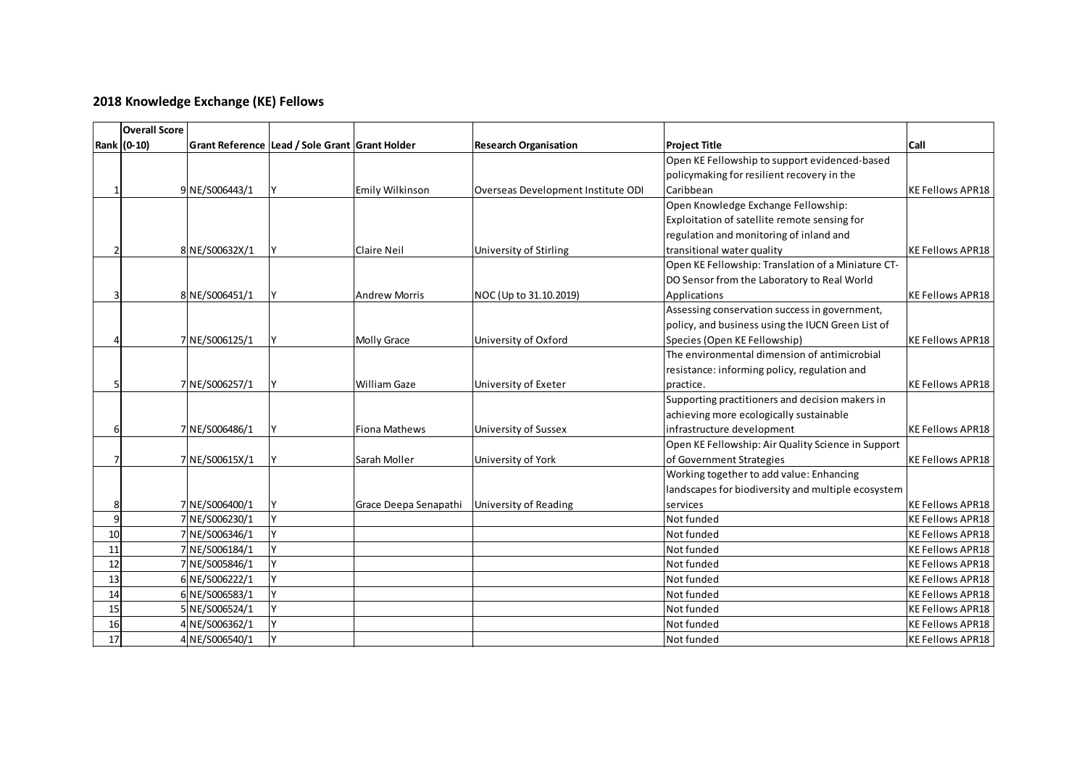## **2018 Knowledge Exchange (KE) Fellows**

|    | <b>Overall Score</b> |                |                                                |                        |                                    |                                                    |                         |
|----|----------------------|----------------|------------------------------------------------|------------------------|------------------------------------|----------------------------------------------------|-------------------------|
|    | Rank (0-10)          |                | Grant Reference Lead / Sole Grant Grant Holder |                        | <b>Research Organisation</b>       | <b>Project Title</b>                               | <b>Call</b>             |
|    |                      |                |                                                |                        |                                    | Open KE Fellowship to support evidenced-based      |                         |
|    |                      |                |                                                |                        |                                    | policymaking for resilient recovery in the         |                         |
|    |                      | 9 NE/S006443/1 |                                                | <b>Emily Wilkinson</b> | Overseas Development Institute ODI | Caribbean                                          | <b>KE Fellows APR18</b> |
|    |                      |                |                                                |                        |                                    | Open Knowledge Exchange Fellowship:                |                         |
|    |                      |                |                                                |                        |                                    | Exploitation of satellite remote sensing for       |                         |
|    |                      |                |                                                |                        |                                    | regulation and monitoring of inland and            |                         |
|    |                      | 8 NE/S00632X/1 |                                                | Claire Neil            | University of Stirling             | transitional water quality                         | <b>KE Fellows APR18</b> |
|    |                      |                |                                                |                        |                                    | Open KE Fellowship: Translation of a Miniature CT- |                         |
|    |                      |                |                                                |                        |                                    | DO Sensor from the Laboratory to Real World        |                         |
|    |                      | 8 NE/S006451/1 |                                                | <b>Andrew Morris</b>   | NOC (Up to 31.10.2019)             | Applications                                       | <b>KE Fellows APR18</b> |
|    |                      |                |                                                |                        |                                    | Assessing conservation success in government,      |                         |
|    |                      |                |                                                |                        |                                    | policy, and business using the IUCN Green List of  |                         |
|    |                      | 7 NE/S006125/1 |                                                | <b>Molly Grace</b>     | University of Oxford               | Species (Open KE Fellowship)                       | <b>KE Fellows APR18</b> |
|    |                      |                |                                                |                        |                                    | The environmental dimension of antimicrobial       |                         |
|    |                      |                |                                                |                        |                                    | resistance: informing policy, regulation and       |                         |
|    |                      | 7 NE/S006257/1 |                                                | <b>William Gaze</b>    | University of Exeter               | practice.                                          | <b>KE Fellows APR18</b> |
|    |                      |                |                                                |                        |                                    | Supporting practitioners and decision makers in    |                         |
|    |                      |                |                                                |                        |                                    | achieving more ecologically sustainable            |                         |
| 6  |                      | 7 NE/S006486/1 |                                                | <b>Fiona Mathews</b>   | University of Sussex               | infrastructure development                         | <b>KE Fellows APR18</b> |
|    |                      |                |                                                |                        |                                    | Open KE Fellowship: Air Quality Science in Support |                         |
|    |                      | 7 NE/S00615X/1 |                                                | Sarah Moller           | University of York                 | of Government Strategies                           | <b>KE Fellows APR18</b> |
|    |                      |                |                                                |                        |                                    | Working together to add value: Enhancing           |                         |
|    |                      |                |                                                |                        |                                    | landscapes for biodiversity and multiple ecosystem |                         |
| 8  |                      | 7 NE/S006400/1 |                                                | Grace Deepa Senapathi  | University of Reading              | services                                           | <b>KE Fellows APR18</b> |
| 9  |                      | 7 NE/S006230/1 |                                                |                        |                                    | Not funded                                         | <b>KE Fellows APR18</b> |
| 10 |                      | 7 NE/S006346/1 |                                                |                        |                                    | Not funded                                         | <b>KE Fellows APR18</b> |
| 11 |                      | 7 NE/S006184/1 |                                                |                        |                                    | Not funded                                         | <b>KE Fellows APR18</b> |
| 12 |                      | 7 NE/S005846/1 |                                                |                        |                                    | Not funded                                         | <b>KE Fellows APR18</b> |
| 13 |                      | 6 NE/S006222/1 |                                                |                        |                                    | Not funded                                         | <b>KE Fellows APR18</b> |
| 14 |                      | 6 NE/S006583/1 |                                                |                        |                                    | Not funded                                         | <b>KE Fellows APR18</b> |
| 15 |                      | 5 NE/S006524/1 |                                                |                        |                                    | Not funded                                         | <b>KE Fellows APR18</b> |
| 16 |                      | 4 NE/S006362/1 |                                                |                        |                                    | Not funded                                         | <b>KE Fellows APR18</b> |
| 17 |                      | 4 NE/S006540/1 | v                                              |                        |                                    | Not funded                                         | <b>KE Fellows APR18</b> |